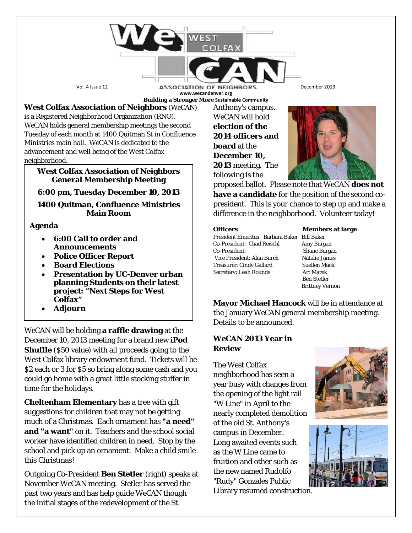Vol. 4 Issue 12 **ASSOCIATION OF NEIGHBORS** December 2013 **www.wecandenver.org Building a Stronger More Sustainable Community**

**West Colfax Association of Neighbors** (*WeCAN*) is a Registered Neighborhood Organization (RNO). *WeCAN* holds general membership meetings the second Tuesday of each month at 1400 Quitman St in Confluence Ministries main hall. *WeCAN* is dedicated to the advancement and well being of the West Colfax

neighborhood.

### **West Colfax Association of Neighbors General Membership Meeting**

## **6:00 pm, Tuesday December 10, 2013**

**1400 Quitman, Confluence Ministries Main Room**

## **Agenda**

- **6:00 Call to order and Announcements**
- **Police Officer Report**
- **Board Elections**
- **Presentation by UC-Denver urban planning Students on their latest project: "Next Steps for West Colfax"**
- **Adjourn**

*WeCAN* will be holding **a raffle drawing** at the December 10, 2013 meeting for a brand new **iPod Shuffle** (\$50 value) with all proceeds going to the West Colfax library endowment fund. Tickets will be \$2 each or 3 for \$5 so bring along some cash and you could go home with a great little stocking stuffer in time for the holidays.

**Cheltenham Elementary** has a tree with gift suggestions for children that may not be getting much of a Christmas. Each ornament has **"a need" and "a want"** on it. Teachers and the school social worker have identified children in need. Stop by the school and pick up an ornament. Make a child smile this Christmas!

Outgoing Co-President **Ben Stetler** (right) speaks at November *WeCAN* meeting. Stetler has served the past two years and has help guide *WeCAN* though the initial stages of the redevelopment of the St.

Anthony's campus. *WeCAN* will hold **election of the 2014 officers and board** at the **December 10, 2013** meeting. The following is the



proposed ballot. Please note that *WeCAN* **does not have a candidate** for the position of the second copresident. This is your chance to step up and make a difference in the neighborhood. Volunteer today!

President Emeritus: Barbara Baker Bill Baker Co-President: Chad Reischl Amy Burgan Co-President: Shane Burgan Vice President: Alan Burch Natalie James Treasurer: Cindy Gallard Suellen Mack Secretary**:** Leah Rounds Art Marek

**Officers** Members at large Ben Stetler Brittney Vernon

**Mayor Michael Hancock** will be in attendance at the January *WeCAN* general membership meeting. Details to be announced.

# *WeCAN* **2013 Year in Review**

The West Colfax neighborhood has seen a year busy with changes from the opening of the light rail "W Line" in April to the nearly completed demolition of the old St. Anthony's campus in December. Long awaited events such as the W Line came to fruition and other such as the new named Rudolfo "Rudy" Gonzales Public Library resumed construction.